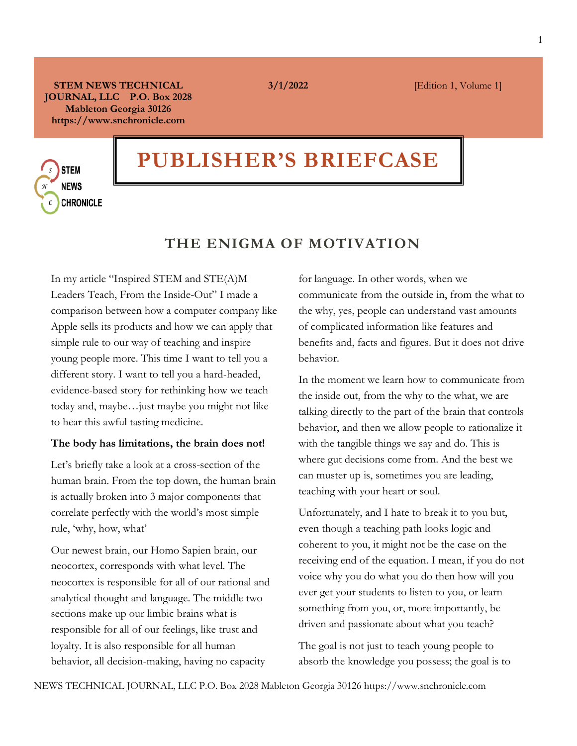**STEM NEWS TECHNICAL JOURNAL, LLC P.O. Box 2028 Mableton Georgia 30126 https://www.snchronicle.com**

# **PUBLISHER'S BRIEFCASE**

**STEM NEWS CHRONICLE** 

### **THE ENIGMA OF MOTIVATION**

In my article "Inspired STEM and STE(A)M Leaders Teach, From the Inside-Out" I made a comparison between how a computer company like Apple sells its products and how we can apply that simple rule to our way of teaching and inspire young people more. This time I want to tell you a different story. I want to tell you a hard-headed, evidence-based story for rethinking how we teach today and, maybe…just maybe you might not like to hear this awful tasting medicine.

#### **The body has limitations, the brain does not!**

Let's briefly take a look at a cross-section of the human brain. From the top down, the human brain is actually broken into 3 major components that correlate perfectly with the world's most simple rule, 'why, how, what'

Our newest brain, our Homo Sapien brain, our neocortex, corresponds with what level. The neocortex is responsible for all of our rational and analytical thought and language. The middle two sections make up our limbic brains what is responsible for all of our feelings, like trust and loyalty. It is also responsible for all human behavior, all decision-making, having no capacity

for language. In other words, when we communicate from the outside in, from the what to the why, yes, people can understand vast amounts of complicated information like features and benefits and, facts and figures. But it does not drive behavior.

In the moment we learn how to communicate from the inside out, from the why to the what, we are talking directly to the part of the brain that controls behavior, and then we allow people to rationalize it with the tangible things we say and do. This is where gut decisions come from. And the best we can muster up is, sometimes you are leading, teaching with your heart or soul.

Unfortunately, and I hate to break it to you but, even though a teaching path looks logic and coherent to you, it might not be the case on the receiving end of the equation. I mean, if you do not voice why you do what you do then how will you ever get your students to listen to you, or learn something from you, or, more importantly, be driven and passionate about what you teach?

The goal is not just to teach young people to absorb the knowledge you possess; the goal is to

**3/1/2022 [Edition 1, Volume 1]**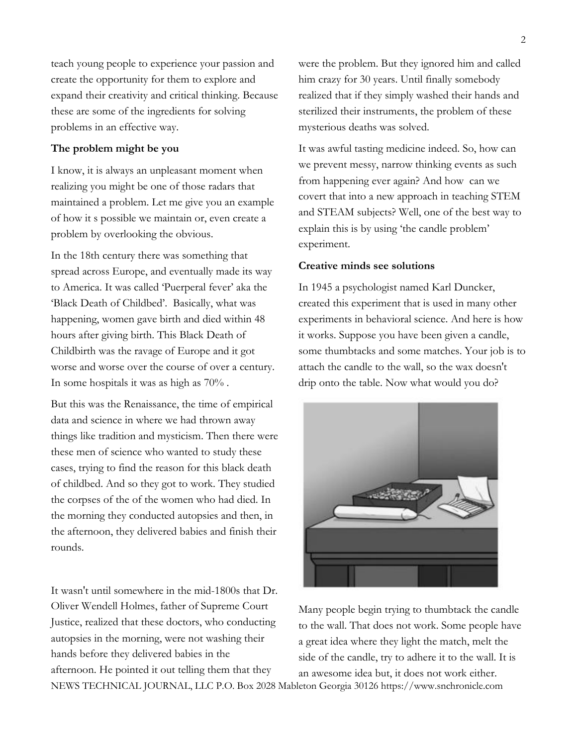teach young people to experience your passion and create the opportunity for them to explore and expand their creativity and critical thinking. Because these are some of the ingredients for solving problems in an effective way.

#### **The problem might be you**

I know, it is always an unpleasant moment when realizing you might be one of those radars that maintained a problem. Let me give you an example of how it s possible we maintain or, even create a problem by overlooking the obvious.

In the 18th century there was something that spread across Europe, and eventually made its way to America. It was called 'Puerperal fever' aka the 'Black Death of Childbed'. Basically, what was happening, women gave birth and died within 48 hours after giving birth. This Black Death of Childbirth was the ravage of Europe and it got worse and worse over the course of over a century. In some hospitals it was as high as 70% .

But this was the Renaissance, the time of empirical data and science in where we had thrown away things like tradition and mysticism. Then there were these men of science who wanted to study these cases, trying to find the reason for this black death of childbed. And so they got to work. They studied the corpses of the of the women who had died. In the morning they conducted autopsies and then, in the afternoon, they delivered babies and finish their rounds.

It wasn't until somewhere in the mid-1800s that Dr. Oliver Wendell Holmes, father of Supreme Court Justice, realized that these doctors, who conducting autopsies in the morning, were not washing their hands before they delivered babies in the afternoon. He pointed it out telling them that they

were the problem. But they ignored him and called him crazy for 30 years. Until finally somebody realized that if they simply washed their hands and sterilized their instruments, the problem of these mysterious deaths was solved.

It was awful tasting medicine indeed. So, how can we prevent messy, narrow thinking events as such from happening ever again? And how can we covert that into a new approach in teaching STEM and STEAM subjects? Well, one of the best way to explain this is by using 'the candle problem' experiment.

#### **Creative minds see solutions**

In 1945 a psychologist named Karl Duncker, created this experiment that is used in many other experiments in behavioral science. And here is how it works. Suppose you have been given a candle, some thumbtacks and some matches. Your job is to attach the candle to the wall, so the wax doesn't drip onto the table. Now what would you do?



NEWS TECHNICAL JOURNAL, LLC P.O. Box 2028 Mableton Georgia 30126 https://www.snchronicle.com Many people begin trying to thumbtack the candle to the wall. That does not work. Some people have a great idea where they light the match, melt the side of the candle, try to adhere it to the wall. It is an awesome idea but, it does not work either.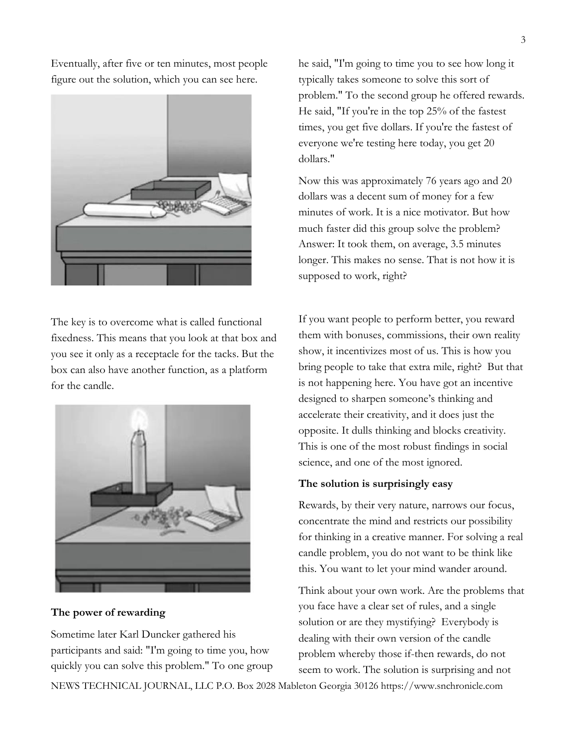Eventually, after five or ten minutes, most people figure out the solution, which you can see here.



The key is to overcome what is called functional fixedness. This means that you look at that box and you see it only as a receptacle for the tacks. But the box can also have another function, as a platform for the candle.



**The power of rewarding**

Sometime later Karl Duncker gathered his participants and said: "I'm going to time you, how quickly you can solve this problem." To one group he said, "I'm going to time you to see how long it typically takes someone to solve this sort of problem." To the second group he offered rewards. He said, "If you're in the top 25% of the fastest times, you get five dollars. If you're the fastest of everyone we're testing here today, you get 20 dollars."

Now this was approximately 76 years ago and 20 dollars was a decent sum of money for a few minutes of work. It is a nice motivator. But how much faster did this group solve the problem? Answer: It took them, on average, 3.5 minutes longer. This makes no sense. That is not how it is supposed to work, right?

If you want people to perform better, you reward them with bonuses, commissions, their own reality show, it incentivizes most of us. This is how you bring people to take that extra mile, right? But that is not happening here. You have got an incentive designed to sharpen someone's thinking and accelerate their creativity, and it does just the opposite. It dulls thinking and blocks creativity. This is one of the most robust findings in social science, and one of the most ignored.

#### **The solution is surprisingly easy**

Rewards, by their very nature, narrows our focus, concentrate the mind and restricts our possibility for thinking in a creative manner. For solving a real candle problem, you do not want to be think like this. You want to let your mind wander around.

Think about your own work. Are the problems that you face have a clear set of rules, and a single solution or are they mystifying? Everybody is dealing with their own version of the candle problem whereby those if-then rewards, do not seem to work. The solution is surprising and not

NEWS TECHNICAL JOURNAL, LLC P.O. Box 2028 Mableton Georgia 30126 https://www.snchronicle.com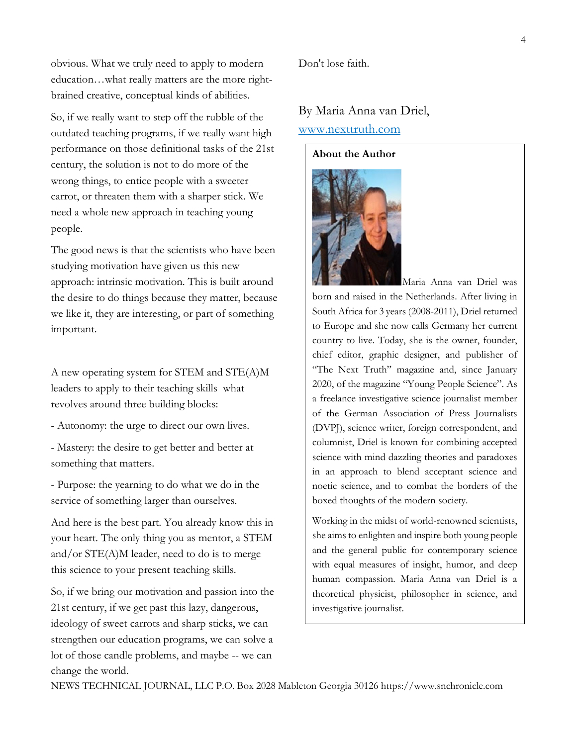obvious. What we truly need to apply to modern education…what really matters are the more rightbrained creative, conceptual kinds of abilities.

So, if we really want to step off the rubble of the outdated teaching programs, if we really want high performance on those definitional tasks of the 21st century, the solution is not to do more of the wrong things, to entice people with a sweeter carrot, or threaten them with a sharper stick. We need a whole new approach in teaching young people.

The good news is that the scientists who have been studying motivation have given us this new approach: intrinsic motivation. This is built around the desire to do things because they matter, because we like it, they are interesting, or part of something important.

A new operating system for STEM and STE(A)M leaders to apply to their teaching skills what revolves around three building blocks:

- Autonomy: the urge to direct our own lives.
- Mastery: the desire to get better and better at something that matters.

- Purpose: the yearning to do what we do in the service of something larger than ourselves.

And here is the best part. You already know this in your heart. The only thing you as mentor, a STEM and/or STE(A)M leader, need to do is to merge this science to your present teaching skills.

So, if we bring our motivation and passion into the 21st century, if we get past this lazy, dangerous, ideology of sweet carrots and sharp sticks, we can strengthen our education programs, we can solve a lot of those candle problems, and maybe -- we can change the world.

Don't lose faith.

## By Maria Anna van Driel, [www.nexttruth.com](http://www.nexttruth.com/)

#### **About the Author**



Maria Anna van Driel was born and raised in the Netherlands. After living in South Africa for 3 years (2008-2011), Driel returned to Europe and she now calls Germany her current country to live. Today, she is the owner, founder, chief editor, graphic designer, and publisher of "The Next Truth" magazine and, since January 2020, of the magazine "Young People Science". As a freelance investigative science journalist member of the German Association of Press Journalists (DVPJ), science writer, foreign correspondent, and columnist, Driel is known for combining accepted science with mind dazzling theories and paradoxes in an approach to blend acceptant science and noetic science, and to combat the borders of the boxed thoughts of the modern society.

Working in the midst of world-renowned scientists, she aims to enlighten and inspire both young people and the general public for contemporary science with equal measures of insight, humor, and deep human compassion. Maria Anna van Driel is a theoretical physicist, philosopher in science, and investigative journalist.

NEWS TECHNICAL JOURNAL, LLC P.O. Box 2028 Mableton Georgia 30126 https://www.snchronicle.com